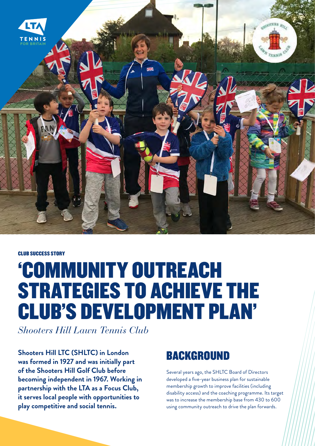

CLUB SUCCESS STORY

# 'COMMUNITY OUTREACH STRATEGIES TO ACHIEVE THE CLUB'S DEVELOPMENT PLAN'

*Shooters Hill Lawn Tennis Club*

**Shooters Hill LTC (SHLTC) in London was formed in 1927 and was initially part of the Shooters Hill Golf Club before becoming independent in 1967. Working in partnership with the LTA as a Focus Club, it serves local people with opportunities to play competitive and social tennis.**

### BACKGROUND

Several years ago, the SHLTC Board of Directors developed a five-year business plan for sustainable membership growth to improve facilities (including disability access) and the coaching programme. Its target was to increase the membership base from 430 to 600 using community outreach to drive the plan forwards.